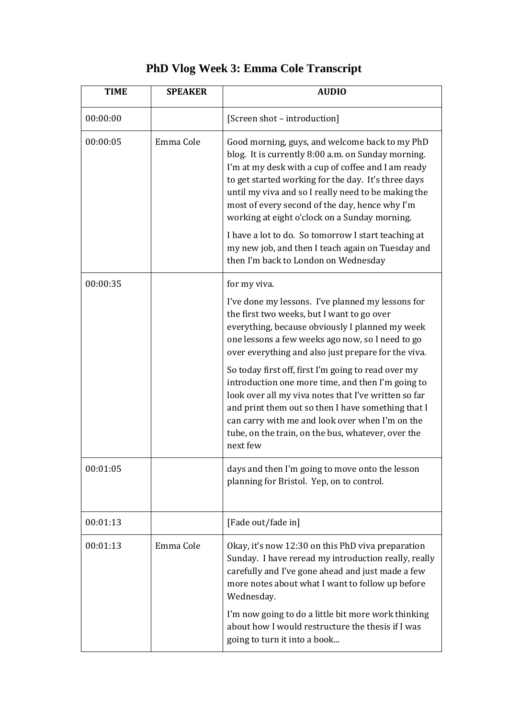|  |  |  |  |  |  |  | <b>PhD Vlog Week 3: Emma Cole Transcript</b> |  |
|--|--|--|--|--|--|--|----------------------------------------------|--|
|--|--|--|--|--|--|--|----------------------------------------------|--|

| <b>TIME</b> | <b>SPEAKER</b> | <b>AUDIO</b>                                                                                                                                                                                                                                                                                                                                                                |
|-------------|----------------|-----------------------------------------------------------------------------------------------------------------------------------------------------------------------------------------------------------------------------------------------------------------------------------------------------------------------------------------------------------------------------|
| 00:00:00    |                | [Screen shot - introduction]                                                                                                                                                                                                                                                                                                                                                |
| 00:00:05    | Emma Cole      | Good morning, guys, and welcome back to my PhD<br>blog. It is currently 8:00 a.m. on Sunday morning.<br>I'm at my desk with a cup of coffee and I am ready<br>to get started working for the day. It's three days<br>until my viva and so I really need to be making the<br>most of every second of the day, hence why I'm<br>working at eight o'clock on a Sunday morning. |
|             |                | I have a lot to do. So tomorrow I start teaching at<br>my new job, and then I teach again on Tuesday and<br>then I'm back to London on Wednesday                                                                                                                                                                                                                            |
| 00:00:35    |                | for my viva.                                                                                                                                                                                                                                                                                                                                                                |
|             |                | I've done my lessons. I've planned my lessons for<br>the first two weeks, but I want to go over<br>everything, because obviously I planned my week<br>one lessons a few weeks ago now, so I need to go<br>over everything and also just prepare for the viva.                                                                                                               |
|             |                | So today first off, first I'm going to read over my<br>introduction one more time, and then I'm going to<br>look over all my viva notes that I've written so far<br>and print them out so then I have something that I<br>can carry with me and look over when I'm on the<br>tube, on the train, on the bus, whatever, over the<br>next few                                 |
| 00:01:05    |                | days and then I'm going to move onto the lesson<br>planning for Bristol. Yep, on to control.                                                                                                                                                                                                                                                                                |
| 00:01:13    |                | [Fade out/fade in]                                                                                                                                                                                                                                                                                                                                                          |
| 00:01:13    | Emma Cole      | Okay, it's now 12:30 on this PhD viva preparation<br>Sunday. I have reread my introduction really, really<br>carefully and I've gone ahead and just made a few<br>more notes about what I want to follow up before<br>Wednesday.                                                                                                                                            |
|             |                | I'm now going to do a little bit more work thinking<br>about how I would restructure the thesis if I was<br>going to turn it into a book                                                                                                                                                                                                                                    |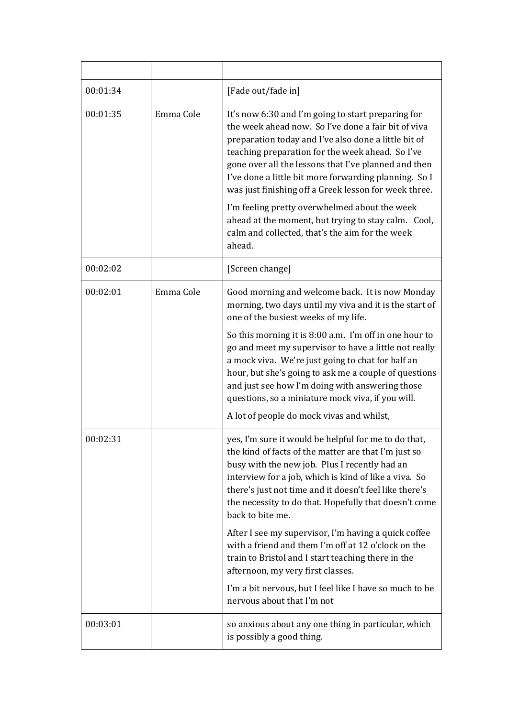| 00:01:34 |           | [Fade out/fade in]                                                                                                                                                                                                                                                                                                                                                                              |
|----------|-----------|-------------------------------------------------------------------------------------------------------------------------------------------------------------------------------------------------------------------------------------------------------------------------------------------------------------------------------------------------------------------------------------------------|
| 00:01:35 | Emma Cole | It's now 6:30 and I'm going to start preparing for<br>the week ahead now. So I've done a fair bit of viva<br>preparation today and I've also done a little bit of<br>teaching preparation for the week ahead. So I've<br>gone over all the lessons that I've planned and then<br>I've done a little bit more forwarding planning. So I<br>was just finishing off a Greek lesson for week three. |
|          |           | I'm feeling pretty overwhelmed about the week<br>ahead at the moment, but trying to stay calm. Cool,<br>calm and collected, that's the aim for the week<br>ahead.                                                                                                                                                                                                                               |
| 00:02:02 |           | [Screen change]                                                                                                                                                                                                                                                                                                                                                                                 |
| 00:02:01 | Emma Cole | Good morning and welcome back. It is now Monday<br>morning, two days until my viva and it is the start of<br>one of the busiest weeks of my life.                                                                                                                                                                                                                                               |
|          |           | So this morning it is 8:00 a.m. I'm off in one hour to<br>go and meet my supervisor to have a little not really<br>a mock viva. We're just going to chat for half an<br>hour, but she's going to ask me a couple of questions<br>and just see how I'm doing with answering those<br>questions, so a miniature mock viva, if you will.<br>A lot of people do mock vivas and whilst,              |
| 00:02:31 |           | yes, I'm sure it would be helpful for me to do that,<br>the kind of facts of the matter are that I'm just so<br>busy with the new job. Plus I recently had an<br>interview for a job, which is kind of like a viva. So<br>there's just not time and it doesn't feel like there's<br>the necessity to do that. Hopefully that doesn't come<br>back to bite me.                                   |
|          |           | After I see my supervisor, I'm having a quick coffee<br>with a friend and them I'm off at 12 o'clock on the<br>train to Bristol and I start teaching there in the<br>afternoon, my very first classes.                                                                                                                                                                                          |
|          |           | I'm a bit nervous, but I feel like I have so much to be<br>nervous about that I'm not                                                                                                                                                                                                                                                                                                           |
| 00:03:01 |           | so anxious about any one thing in particular, which<br>is possibly a good thing.                                                                                                                                                                                                                                                                                                                |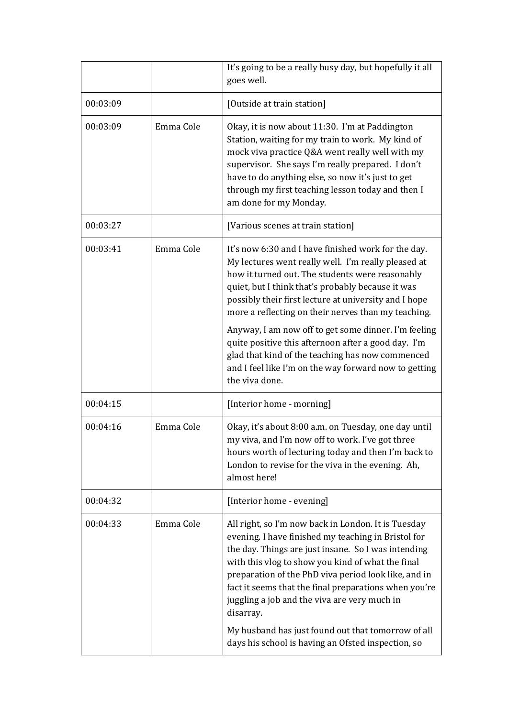|          |           | It's going to be a really busy day, but hopefully it all<br>goes well.                                                                                                                                                                                                                                                                                                                                                                                     |
|----------|-----------|------------------------------------------------------------------------------------------------------------------------------------------------------------------------------------------------------------------------------------------------------------------------------------------------------------------------------------------------------------------------------------------------------------------------------------------------------------|
| 00:03:09 |           | [Outside at train station]                                                                                                                                                                                                                                                                                                                                                                                                                                 |
| 00:03:09 | Emma Cole | Okay, it is now about 11:30. I'm at Paddington<br>Station, waiting for my train to work. My kind of<br>mock viva practice Q&A went really well with my<br>supervisor. She says I'm really prepared. I don't<br>have to do anything else, so now it's just to get<br>through my first teaching lesson today and then I<br>am done for my Monday.                                                                                                            |
| 00:03:27 |           | [Various scenes at train station]                                                                                                                                                                                                                                                                                                                                                                                                                          |
| 00:03:41 | Emma Cole | It's now 6:30 and I have finished work for the day.<br>My lectures went really well. I'm really pleased at<br>how it turned out. The students were reasonably<br>quiet, but I think that's probably because it was<br>possibly their first lecture at university and I hope<br>more a reflecting on their nerves than my teaching.                                                                                                                         |
|          |           | Anyway, I am now off to get some dinner. I'm feeling<br>quite positive this afternoon after a good day. I'm<br>glad that kind of the teaching has now commenced<br>and I feel like I'm on the way forward now to getting<br>the viva done.                                                                                                                                                                                                                 |
| 00:04:15 |           | [Interior home - morning]                                                                                                                                                                                                                                                                                                                                                                                                                                  |
| 00:04:16 | Emma Cole | Okay, it's about 8:00 a.m. on Tuesday, one day until<br>my viva, and I'm now off to work. I've got three<br>hours worth of lecturing today and then I'm back to<br>London to revise for the viva in the evening. Ah,<br>almost here!                                                                                                                                                                                                                       |
| 00:04:32 |           | [Interior home - evening]                                                                                                                                                                                                                                                                                                                                                                                                                                  |
| 00:04:33 | Emma Cole | All right, so I'm now back in London. It is Tuesday<br>evening. I have finished my teaching in Bristol for<br>the day. Things are just insane. So I was intending<br>with this vlog to show you kind of what the final<br>preparation of the PhD viva period look like, and in<br>fact it seems that the final preparations when you're<br>juggling a job and the viva are very much in<br>disarray.<br>My husband has just found out that tomorrow of all |
|          |           | days his school is having an Ofsted inspection, so                                                                                                                                                                                                                                                                                                                                                                                                         |